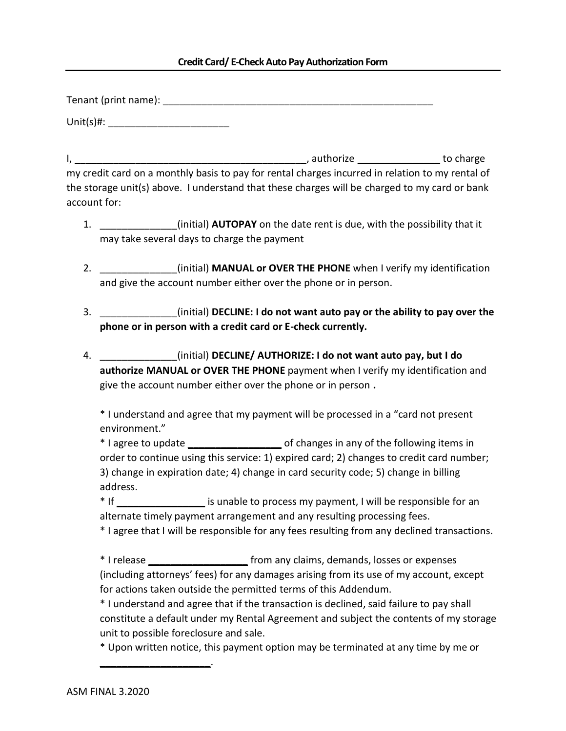## **Credit Card/ E-Check Auto Pay Authorization Form**

Tenant (print name): \_\_\_\_\_\_\_\_\_\_\_\_\_\_\_\_\_\_\_\_\_\_\_\_\_\_\_\_\_\_\_\_\_\_\_\_\_\_\_\_\_\_\_\_\_\_\_\_\_

 $Unit(s)$ #:

I, \_\_\_\_\_\_\_\_\_\_\_\_\_\_\_\_\_\_\_\_\_\_\_\_\_\_\_\_\_\_\_\_\_\_\_\_\_\_\_\_\_\_, authorize **\_\_\_\_\_\_\_\_\_\_\_\_\_\_\_** to charge my credit card on a monthly basis to pay for rental charges incurred in relation to my rental of the storage unit(s) above. I understand that these charges will be charged to my card or bank account for:

- 1. \_\_\_\_\_\_\_\_\_\_\_\_\_\_(initial) **AUTOPAY** on the date rent is due, with the possibility that it may take several days to charge the payment
- 2. \_\_\_\_\_\_\_\_\_\_\_\_\_\_(initial) **MANUAL or OVER THE PHONE** when I verify my identification and give the account number either over the phone or in person.
- 3. \_\_\_\_\_\_\_\_\_\_\_\_\_\_(initial) **DECLINE: I do not want auto pay or the ability to pay over the phone or in person with a credit card or E-check currently.**
- 4. \_\_\_\_\_\_\_\_\_\_\_\_\_\_(initial) **DECLINE/ AUTHORIZE: I do not want auto pay, but I do authorize MANUAL or OVER THE PHONE** payment when I verify my identification and give the account number either over the phone or in person **.**

\* I understand and agree that my payment will be processed in a "card not present environment."

\* I agree to update **\_\_\_\_\_\_\_\_\_\_\_\_\_\_\_\_\_** of changes in any of the following items in order to continue using this service: 1) expired card; 2) changes to credit card number; 3) change in expiration date; 4) change in card security code; 5) change in billing address.

\* If **\_\_\_\_\_\_\_\_\_\_\_\_\_\_\_\_** is unable to process my payment, I will be responsible for an alternate timely payment arrangement and any resulting processing fees.

\* I agree that I will be responsible for any fees resulting from any declined transactions.

\* I release **\_\_\_\_\_\_\_\_\_\_\_\_\_\_\_\_\_\_** from any claims, demands, losses or expenses (including attorneys' fees) for any damages arising from its use of my account, except for actions taken outside the permitted terms of this Addendum.

\* I understand and agree that if the transaction is declined, said failure to pay shall constitute a default under my Rental Agreement and subject the contents of my storage unit to possible foreclosure and sale.

\* Upon written notice, this payment option may be terminated at any time by me or

**\_\_\_\_\_\_\_\_\_\_\_\_\_\_\_\_\_\_\_\_**.